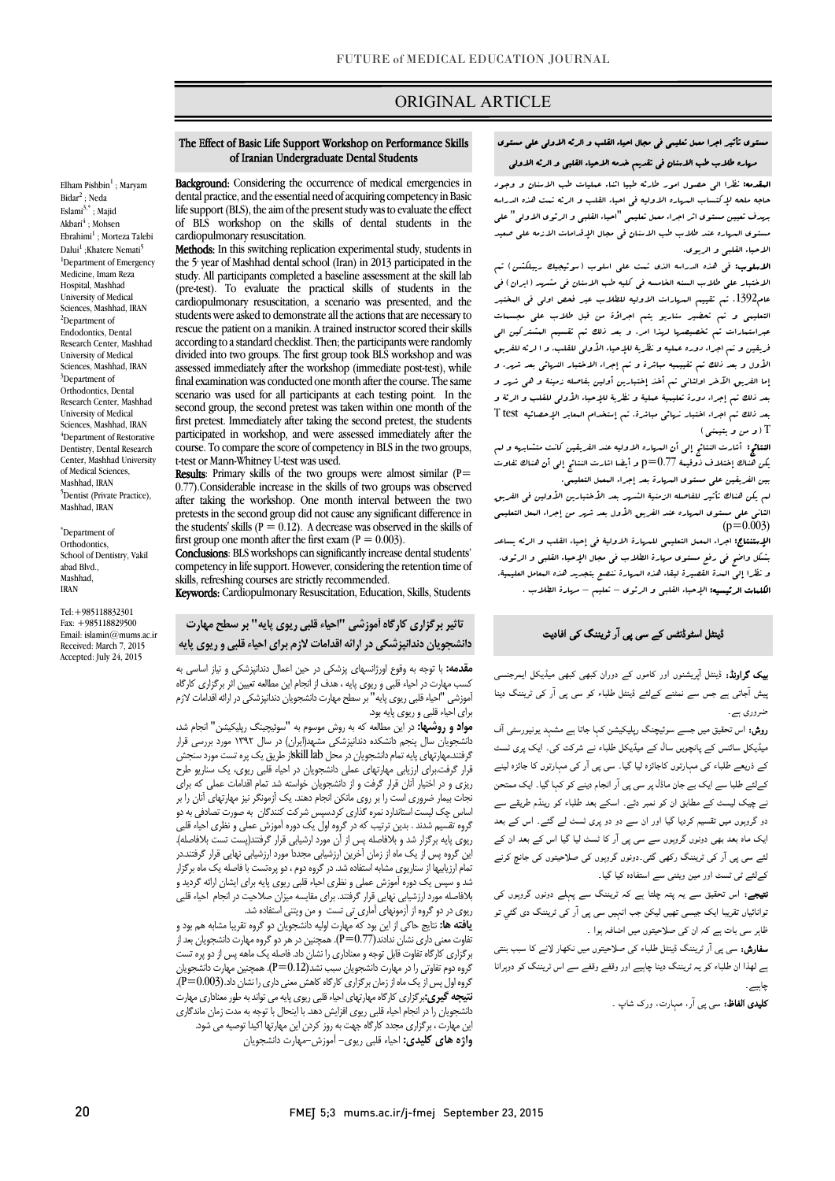## ORIGINAL ARTICLE

## مستوي تأثیر اجرا معمل تعلیمی فی مجال احیاء القلب و الرئه الاولی علی مستوي مهاره طلاب طب الاسنان فی تقدیم خدمه الاحیاء القلبی و الرئه الاولی

Ī

 المقدمه: نظرا الی حصول امور طارئه طبیا اثناء عملیات طب الاسنان و وجود بهدف تعیین مستوي اثر اجراء معمل تعلیمی "احیاء القلبی و الرئوي الاولی" علی مستوي المهاره عند طلاب طب الاسنان فی مجال الإقدامات الازمه علی صعید الاحیاء القلبی و الریوي. حاجه ملحه لإکتساب المهاره الاولیه فی احیاء القلب و الرئه تمت هذه الدراسه

ا**لاسلوب:** فی هذه الدراسه الذی تمت علی اسلوب (سوئیجیك ریبلکشن) تم عام. 1392 تم تقییم المهارات الاولیه للطلاب عبر فعص اولی فی المختبر<br>عام1392. تم تقییم المهارات الاولیه للطلاب عبر فعص اولی فی البختبر التعلیمی و تم تحضیر سناریو یتم اجراؤة من قبل طلاب علی مجسمات عبراستمارات تم تخصیصها لهذا امر. و بعد ذلک تم تقسیم المشترکین الی فریقین و تم اجراء دوره عملیه و نظریۀ للإحیاء الأولی للقلب. و ا لرئه للفریق لأول و بعد ذلك تم تقییمیه مباشرة و تم إجراء الاختبار النهائی بعد شهر. و<br>. بعد ذلک تم إجراء دورة تعلیمیۀ عملیۀ و نظریۀ للإحیاء الأولی للقلب و الرئۀ و بعد ذلک تم اجراء اختبار نهائی مباشرة. تم إستخدام المعابر الإحصائیه test T الاختبار علی طلاب السنه الخامسه فی کلیه طب الاسنان فی مشهد (ایران) فی إما الفریق الآخر اولثانی تم أخذ إختبارین أولین بفاصله زمینۀ و هی شهر و T) و من و یتیمنی)

**لنتائج:** أشارت النتائج إلى أن الدياره الاولیه عند الفریقین کانت متشابریه و لم<br>مستق**ع**  بین الفریقین علی مستوي المهارة بعد إجراء المعمل التعلیمی. یکن هناك إختلاف ذوقیمۀ 0.77=p و أیضا اشارت النتائج إلی أن هناك تفاوت

 لم یکن هناك تأثیر للفاصله الزمنیۀ الشهر بعد الأختبارین الأولین فی الفریق الثانی علی مستوي المهاره عند الفریق الأول بعد شهر من إجراء المعل التعلیمی  $(p=0.003)$ 

ال<sup>6100</sup>0<br>**الإستنتاج:** اجراء البعمل التعلیمی للمهارة الاولیۀ فی إحیاء القلب و الرئه یساعد بشکل واضح فی رفع مستوي مهارة الطلاب فی مجال الإحیاء القلبی و الرئوي. و نظرا إلی المدة القصیرة لبقاء هذه المهارة ننصع بتجدید هذه المعامل العلیمیۀ. الکلمات الرئیسیه: الإحیاء القلبی و الرئوي – تعلیم – مهارة الطلاب .

#### ڈینٹل اسٹوڈنٹس کے سی پی آر ٹریننگ کی افادیت

**بیک گراونڈ:** ڈینٹل آپریشنوں اور کاموں کے دوران کبھی کبھی میڈیکل ایمرجنسی پیش آجاتی ہے جس سے نمٹنے کےلئے ڈینٹل طلباء کو سی پی آر کی ٹریننگ دینا ۔<br>ضروری بسر ۔

**روش:** اس تحقیق میں جسے سوئیچنگ رپلیکیشن کہا جاتا ہے مشہد یونیورسٹی آف<br>۔ بیب س سامس نے پانپرین ساد سے بیب س میب سے سرے ہی ہے۔ یہ پری ساد<br>کے ذریعے طلباء کی مہارتوں کاجائزہ لیا گیا۔ سی پی آر کی مہارتوں کا جائزہ لینے ے میں سے مسلم کے دورے کے دورے کے دورے کے دورے کے دورے کے دورے کے دورے کے دورے کے دورے کے دورے کے دورے کے دورے<br>کےلئے طلبا سے ایک بے جان ماڈل پر سی پی آر انجام دینے کو کہا گیا۔ ایک ممتحن ۔<br>نے چیک لیسٹ کے مطابق ان کو نمبر دئے۔ اسکے بعد طلباء کو رینڈم طریقے سے دو گروہوں میں تقسیم کردیا گیا اور ان سے دو دو پری ٹسٹ لے گئے۔ اس کے بعد یک ماہ بعد بھی دونوں گروہوں سے سی پی آر کا ٹسٹ لیا گیا اس کے بعد ان کے لئے سی پی آر کی ٹریننگ رکھی گئی۔دونوں گروہوں کی صلاحیتوں کی جانچ کرنے کےلئے ٹی ٹسٹ اور مین ویٹنی سے استفادہ کیا گیا۔ میڈیکل سائنس کے پانچویں سال کے میڈیکل طلباء نے شرکت کی۔ ایک یری ٹسٹ

**نتیجے:** اس تحقیق سے یہ پتہ چلتا ہے کہ ٹریننگ سے پہلے دونوں گروہوں کی نوانائیاں تقریبا ایک جیسی تھیں لیکن جب انہیں سی پی آر کی ٹریننگ دی گئي تو ظاہر سی بات ہے کہ ان کی صلاحیتوں میں اضافہ ہوا ۔

۔ ہر سی بات ہے ۔ س سی سبز سیوں ہیں جات ہے۔<br>**سفارش:** سی پی آر ٹریننگ ڈینٹل طلباء کی صلاحیتوں میں نکھار لانے کا سبب بنتی ا ان ء د اور و و اس دوا ہاہیے۔

**کلیدی الفاظ:** سی پی آر، مہارت، ورک شاپ <sub>۔</sub>

#### The Effect of Basic Life Support Workshop on Performance Skills of Iranian Undergraduate Dental Students

Ī

 dental practice, and the essential need of acquiring competency in Basic life support (BLS), the aim of the present study was to evaluate the effect of BLS workshop on the skills of dental students in the cardiopulmonary resuscitation Background: Considering the occurrence of medical emergencies in cardiopulmonary resuscitation.

Methods: In this switching replication experimental study, students in study. All participants completed a baseline assessment at the skill lab (pre-test). To evaluate the practical skills of students in the students were asked to demonstrate all the actions that are necessary to rescue the patient on a manikin. A trained instructor scored their skills divided into two groups. The first group took BLS workshop and was assessed immediately after the workshop (immediate post-test), while scenario was used for all participants at each testing point. In the second group, the second pretest was taken within one month of the participated in workshop, and were assessed immediately after the course. To compare the score of competency in BLS in the two groups, the 5<sup>t</sup> year of Mashhad dental school (Iran) in 2013 participated in the cardiopulmonary resuscitation, a scenario was presented, and the according to a standard checklist. Then; the participants were randomly final examination was conducted one month after the course. The same first pretest. Immediately after taking the second pretest, the students t-test or Mann-Whitney U-test was used.

**Results**: Primary skills of the two groups were almost similar  $(P =$ o.//).Considerable increase in the skins of two groups was observed<br>after taking the workshop. One month interval between the two pretests in the second group did not cause any significant difference in first group one month after the first exam  $(P = 0.003)$ . 0.77).Considerable increase in the skills of two groups was observed the students' skills ( $P = 0.12$ ). A decrease was observed in the skills of

Conclusions: BLS workshops can significantly increase dental students' skills, refreshing courses are strictly recommended. competency in life support. However, considering the retention time of

Keywords: Cardiopulmonary Resuscitation, Education, Skills, Students

# تاثیر برگزاري کارگاه آموزشی "احیاء قلبی ریوي پایه" بر سطح مهارت دانشجویان دندانپزشکی در ارائه اقدامات لازم براي احیاء قلبی و ریوي پایه

 کسب مهارت در احیاء قلبی و ریوي پایه ، هدف از انجام این مطالعه تعیین اثر برگزاري کارگاه آموزشی "احیاء قلبی ریوي پایه" بر سطح مهارت دانشجویان دندانپزشکی در ارائه اقدامات لازم براي احیاء قلبی و ریوي پایه بود. مقدمه: با توجه به وقوع اورژانسهاي پزشکی در حین اعمال دندانپزشکی و نیاز اساسی به

 دانشجویان سال پنجم دانشکده دندانپزشکی مشهد(ایران) در سال 1392 مورد بررسی قرار گرفتند.مهارتهاي پايه تمام دانشجويان در محل skill labاز طريق يک پره تست مورد سنجش براز کریت،برای ارزیابی مهارچای عسی دانشجویان کر اخیاء کنبی زیوی، یک تساریو عن<br>ریزی و در اختیار آنان قرار گرفت و از دانشجویان خواسته شد تمام اقدامات عملی که برای نجات بیمار ضروري است را بر روي مانکن انجام دهند. یک آزمونگر نیز مهارتهاي آنان را بر اساس چک لیست استاندارد نمره گذاري کرد.سپس شرکت کنندگان به صورت تصادفی به دو ریوي پایه برگزار شد و بلافاصله پس از آن مورد ارشیابی قرار گرفتند(پست تست بلافاصله). این گروه پس از یک ماه از زمان آخرین ارزشیابی مجددا مورد ارزشیابی نهایی قرار گرفتند.در شد و سپس یک دوره آموزش عملی و نظري احیاء قلبی ریوي پایه براي ایشان ارائه گردیدو بلافاصله مورد ارزشیابی نهایی قرار گرفتند. براي مقایسه میزان صلاحیت در انجام احیاء قلبی مواد و روشها: در این مطالعه که به روش موسوم به "سوئیچینگ رپلیکیشن" انجام شد، قرار گرفت.براي ارزیابی مهارتهاي عملی دانشجویان در احیاء قلبی ریوي، یک سناریو طرح گروه تقسیم شدند . بدین ترتیب که در گروه اول یک دوره آموزش عملی و نظري احیاء قلبی تمام ارزیابیها از سناریوي مشابه استفاده شد. در گروه دوم ، دو پرهتست با فاصله یک ماه برگزار

ریوی در دو گروه از آزمونهای آماری تی تست و من ویتنی استفاده شد.<br>رافته ۱۵۰ تاریخ از این است و کند با به ایل دانش دارد و گ تفاوت معنی داري نشان ندادند(0.77=P(. همچنین در هر دو گروه مهارت دانشجویان بعد از برگزاري کارگاه تفاوت قابل توجه و معناداري را نشان داد. فاصله یک ماهه پس از دو پره تست گروه اول پس از یک ماه از زمان برگزاري کارگاه کاهش معنی داري را نشان داد.(0.003=P(. ن**تیجه گیری:**برگزاری کارگاه مهارتهای احیاء قلبی ریوی پایه می تواند به طور معناداری مهارت این مهارت ، برگزاري مجدد کارگاه جهت به روز کردن این مهارتها اکیدا توصیه می شود. واژه هاي کلیدي: احیاء قلبی ریوي- آموزش-مهارت دانشجویان **یافته ها:** نتایج حاکی از این بود که مهارت اولیه دانشجویان دو گروه تقریبا مشابه هم بود و گروه دوم تفاوتی را در مهارت دانشجویان سبب نشد(0.12=P(. همچنین مهارت دانشجویان دانشجویان را در انجام احیاء قلبی ریوي افزایش دهد. با اینحال با توجه به مدت زمان ماندگاري

Elham Pishbin $<sup>1</sup>$ ; Maryam</sup> Bidar2 ; Neda Eslami3,\* ; Majid Akbari<sup>4</sup>; Mohsen Ebrahimi<sup>1</sup>; Morteza Talebi Dalui<sup>1</sup> :Khatere Nemati<sup>5</sup> <sup>1</sup>Department of Emergency Medicine, Imam Reza Hospital, Mashhad University of Medical Sciences, Mashhad, IRAN <sup>2</sup>Department of Endodontics, Dental Research Center, Mashhad University of Medical Sciences, Mashhad, IRAN <sup>3</sup>Department of Orthodontics, Dental Research Center, Mashhad University of Medical Sciences, Mashhad, IRAN <sup>4</sup>Department of Restorative Dentistry, Dental Research Center, Mashhad University of Medical Sciences, Mashhad, IRAN 5 Dentist (Private Practice), Mashhad, IRAN

\* Department of Orthodontics, School of Dentistry, Vakil abad Blvd., Mashhad, IRAN

Tel:+985118832301 Fax: +985118829500 Email: islamin@mums.ac.ir Received: March 7, 2015 Accepted: July 24, 2015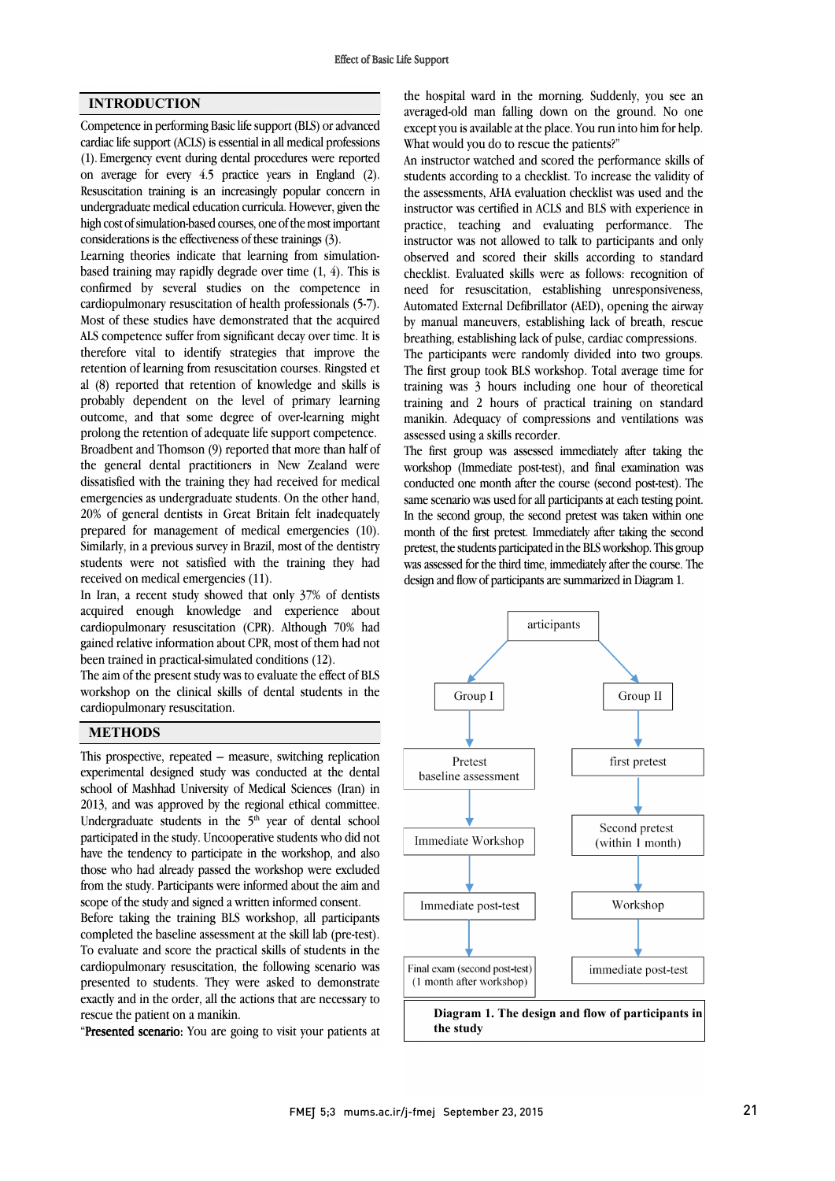## INTRODUCTION

Competence in performing Basic life support (BLS) or advanced cardiac life support (ACLS) is essential in all medical professions (1). Emergency event during dental procedures were reported on average for every 4.5 practice years in England (2). Resuscitation training is an increasingly popular concern in undergraduate medical education curricula. However, given the high cost of simulation-based courses, one of the most important considerations is the effectiveness of these trainings (3).

Learning theories indicate that learning from simulationbased training may rapidly degrade over time (1, 4). This is confirmed by several studies on the competence in cardiopulmonary resuscitation of health professionals (5-7). Most of these studies have demonstrated that the acquired ALS competence suffer from significant decay over time. It is therefore vital to identify strategies that improve the retention of learning from resuscitation courses. Ringsted et al (8) reported that retention of knowledge and skills is probably dependent on the level of primary learning outcome, and that some degree of over-learning might prolong the retention of adequate life support competence. Broadbent and Thomson (9) reported that more than half of the general dental practitioners in New Zealand were dissatisfied with the training they had received for medical emergencies as undergraduate students. On the other hand, 20% of general dentists in Great Britain felt inadequately prepared for management of medical emergencies (10). Similarly, in a previous survey in Brazil, most of the dentistry students were not satisfied with the training they had received on medical emergencies (11).

In Iran, a recent study showed that only 37% of dentists acquired enough knowledge and experience about cardiopulmonary resuscitation (CPR). Although 70% had gained relative information about CPR, most of them had not been trained in practical-simulated conditions (12).

The aim of the present study was to evaluate the effect of BLS workshop on the clinical skills of dental students in the cardiopulmonary resuscitation.

### **METHODS**

This prospective, repeated – measure, switching replication experimental designed study was conducted at the dental school of Mashhad University of Medical Sciences (Iran) in 2013, and was approved by the regional ethical committee. Undergraduate students in the 5<sup>th</sup> year of dental school participated in the study. Uncooperative students who did not have the tendency to participate in the workshop, and also those who had already passed the workshop were excluded from the study. Participants were informed about the aim and scope of the study and signed a written informed consent.

Before taking the training BLS workshop, all participants completed the baseline assessment at the skill lab (pre-test). To evaluate and score the practical skills of students in the cardiopulmonary resuscitation, the following scenario was presented to students. They were asked to demonstrate exactly and in the order, all the actions that are necessary to rescue the patient on a manikin.

"Presented scenario: You are going to visit your patients at

 the hospital ward in the morning. Suddenly, you see an averaged-old man falling down on the ground. No one except you is available at the place. You run into him for help. What would you do to rescue the patients?"

 students according to a checklist. To increase the validity of the assessments, AHA evaluation checklist was used and the instructor was certified in ACLS and BLS with experience in practice, teaching and evaluating performance. The observed and scored their skills according to standard checklist. Evaluated skills were as follows: recognition of need for resuscitation, establishing unresponsiveness, Automated External Defibrillator (AED), opening the airway breathing, establishing lack of pulse, cardiac compressions. The participants were randomly divided into two groups. The first group took BLS workshop. Total average time for training was 3 hours including one hour of theoretical manikin. Adequacy of compressions and ventilations was assessed using a skills recorder. An instructor watched and scored the performance skills of instructor was not allowed to talk to participants and only by manual maneuvers, establishing lack of breath, rescue training and 2 hours of practical training on standard

 The first group was assessed immediately after taking the workshop (Immediate post-test), and final examination was same scenario was used for all participants at each testing point. In the second group, the second pretest was taken within one month of the first pretest. Immediately after taking the second was assessed for the third time, immediately after the course. The design and flow of participants are summarized in Diagram 1. conducted one month after the course (second post-test). The pretest, the students participated in the BLS workshop. This group

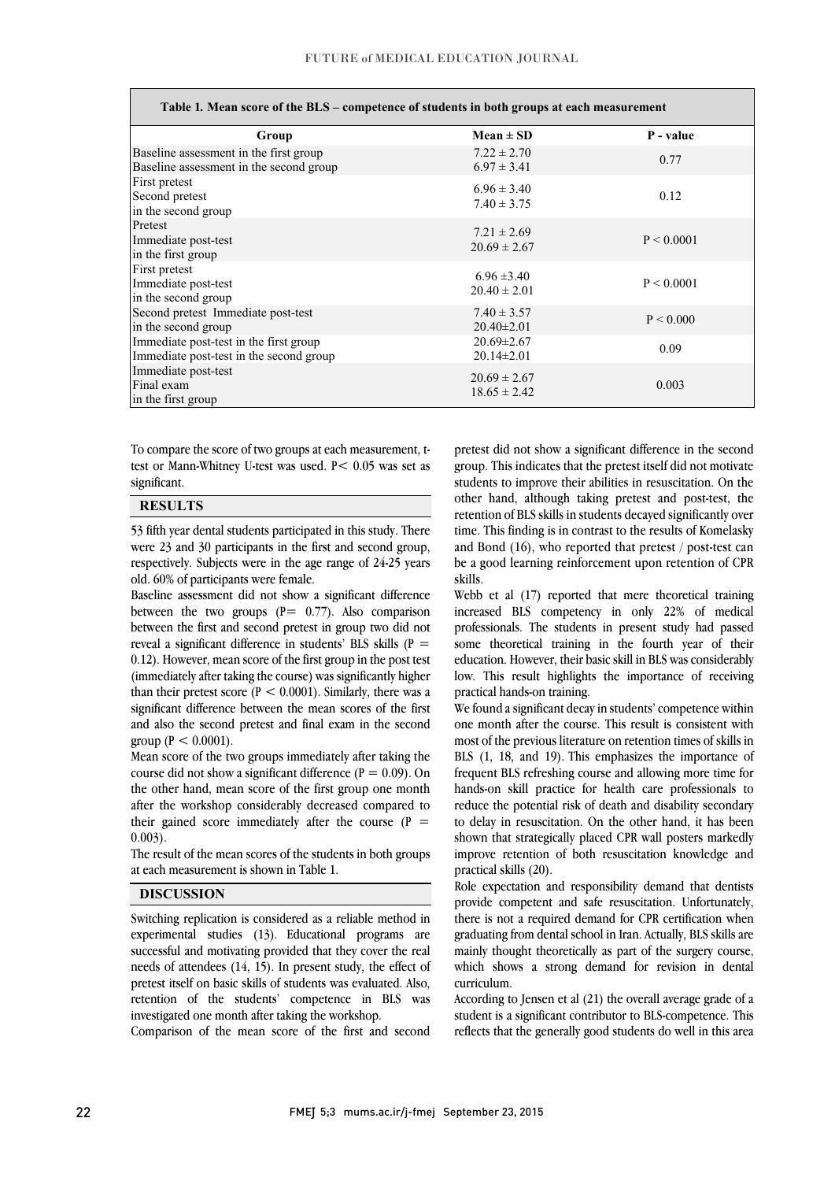$\overline{a}$ 

1 <u>.</u>

 $\overline{a}$ 

| Table 1. Mean score of the BLS - competence of students in both groups at each measurement |                                      |            |
|--------------------------------------------------------------------------------------------|--------------------------------------|------------|
| Group                                                                                      | $Mean \pm SD$                        | P - value  |
| Baseline assessment in the first group<br>Baseline assessment in the second group          | $7.22 \pm 2.70$<br>$6.97 \pm 3.41$   | 0.77       |
| First pretest<br>Second pretest<br>in the second group                                     | $6.96 \pm 3.40$<br>$7.40 \pm 3.75$   | 0.12       |
| Pretest<br>Immediate post-test<br>in the first group                                       | $7.21 \pm 2.69$<br>$20.69 \pm 2.67$  | P < 0.0001 |
| First pretest<br>Immediate post-test<br>in the second group                                | $6.96 \pm 3.40$<br>$20.40 \pm 2.01$  | P < 0.0001 |
| Second pretest Immediate post-test<br>in the second group                                  | $7.40 \pm 3.57$<br>$20.40 \pm 2.01$  | P < 0.000  |
| Immediate post-test in the first group<br>Immediate post-test in the second group          | $20.69 \pm 2.67$<br>$20.14 \pm 2.01$ | 0.09       |
| Immediate post-test<br>Final exam<br>in the first group                                    | $20.69 \pm 2.67$<br>$18.65 \pm 2.42$ | 0.003      |

 To compare the score of two groups at each measurement, t- test or Mann-Whitney U-test was used. P< 0.05 was set as significant.

## **RESULTS**

 53 fifth year dental students participated in this study. There ا م respectively. Subjects were in the age range of 24-25 years<br>old 60% of participants were female were 23 and 30 participants in the first and second group, old. 60% of participants were female.

 Baseline assessment did not show a significant difference between the two groups  $(P= 0.77)$ . Also comparison reveal a significant difference in students' BLS skills  $(P =$  0.12). However, mean score of the first group in the post test (immediately after taking the course) was significantly higher than their pretest score ( $P < 0.0001$ ). Similarly, there was a and also the second pretest and final exam in the second between the first and second pretest in group two did not significant difference between the mean scores of the first group ( $P < 0.0001$ ).

 Mean score of the two groups immediately after taking the course did not show a significant difference ( $P = 0.09$ ). On after the workshop considerably decreased compared to their gained score immediately after the course  $(P =$ the other hand, mean score of the first group one month 0.003).

 The result of the mean scores of the students in both groups l at each measurement is shown in Table 1.

#### DISCUSSION

 Switching replication is considered as a reliable method in experimental studies (13). Educational programs are needs of attendees (14, 15). In present study, the effect of pretest itself on basic skills of students was evaluated. Also, retention of the students' competence in BLS was investigated one month after taking the workshop. successful and motivating provided that they cover the real

Comparison of the mean score of the first and second

 pretest did not show a significant difference in the second students to improve their abilities in resuscitation. On the other hand, although taking pretest and post-test, the retention of BLS skills in students decayed significantly over time. This finding is in contrast to the results of Komelasky and bond (10), who reported that pretest posettest can<br>be a good learning reinforcement upon retention of CPR group. This indicates that the pretest itself did not motivate and Bond (16), who reported that pretest / post-test can skills.

j

 Webb et al (17) reported that mere theoretical training increased BLS competency in only 22% of medical some theoretical training in the fourth year of their education. However, their basic skill in BLS was considerably low. This result highlights the importance of receiving professionals. The students in present study had passed practical hands-on training.

one month after the course. This result is consistent with most of the previous literature on retention times of skills in BLS (1, 18, and 19). This emphasizes the importance of frequent BLS refreshing course and allowing more time for reduce the potential risk of death and disability secondary to delay in resuscitation. On the other hand, it has been shown that strategically placed CPR wall posters markedly improve retention of both resuscitation knowledge and We found a significant decay in students' competence within hands-on skill practice for health care professionals to practical skills (20).

 Role expectation and responsibility demand that dentists provide competent and safe resuscitation. Unfortunately, there is not a required demand for CPR certification when graduating from dental school in Iran. Actually, BLS skills are manny mought incordinally as part of the surgery course,<br>which shows a strong demand for revision in dental mainly thought theoretically as part of the surgery course, curriculum.

 According to Jensen et al (21) the overall average grade of a student is a significant contributor to BLS-competence. This reflects that the generally good students do well in this area